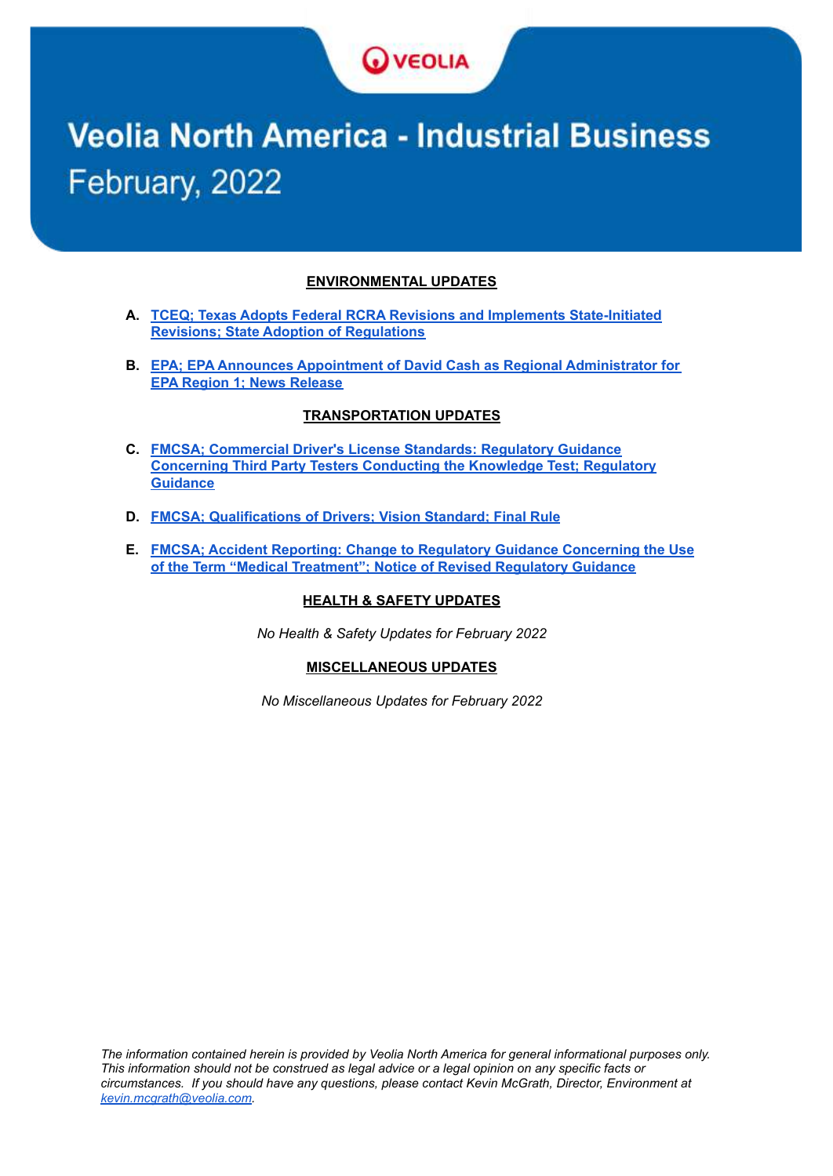

# **Veolia North America - Industrial Business** February, 2022

#### **ENVIRONMENTAL UPDATES**

- **A. TCEQ; Texas Adopts Federal RCRA Revisions and Implements [State-Initiated](#page-1-0) Revisions; State Adoption of [Regulations](#page-1-0)**
- **B. EPA; EPA Announces Appointment of David Cash as Regional [Administrator](#page-2-0) for EPA Region 1; News [Release](#page-2-0)**

#### **TRANSPORTATION UPDATES**

- **C. FMCSA; [Commercial](#page-3-0) Driver's License Standards: Regulatory Guidance [Concerning](#page-3-0) Third Party Testers Conducting the Knowledge Test; Regulatory [Guidance](#page-3-0)**
- **D. FMCSA; [Qualifications](#page-4-0) of Drivers; Vision Standard; Final Rule**
- **E. FMCSA; Accident Reporting: Change to Regulatory Guidance [Concerning](#page-6-0) the Use of the Term "Medical [Treatment";](#page-6-0) Notice of Revised Regulatory Guidance**

#### **HEALTH & SAFETY UPDATES**

*No Health & Safety Updates for February 2022*

#### **MISCELLANEOUS UPDATES**

*No Miscellaneous Updates for February 2022*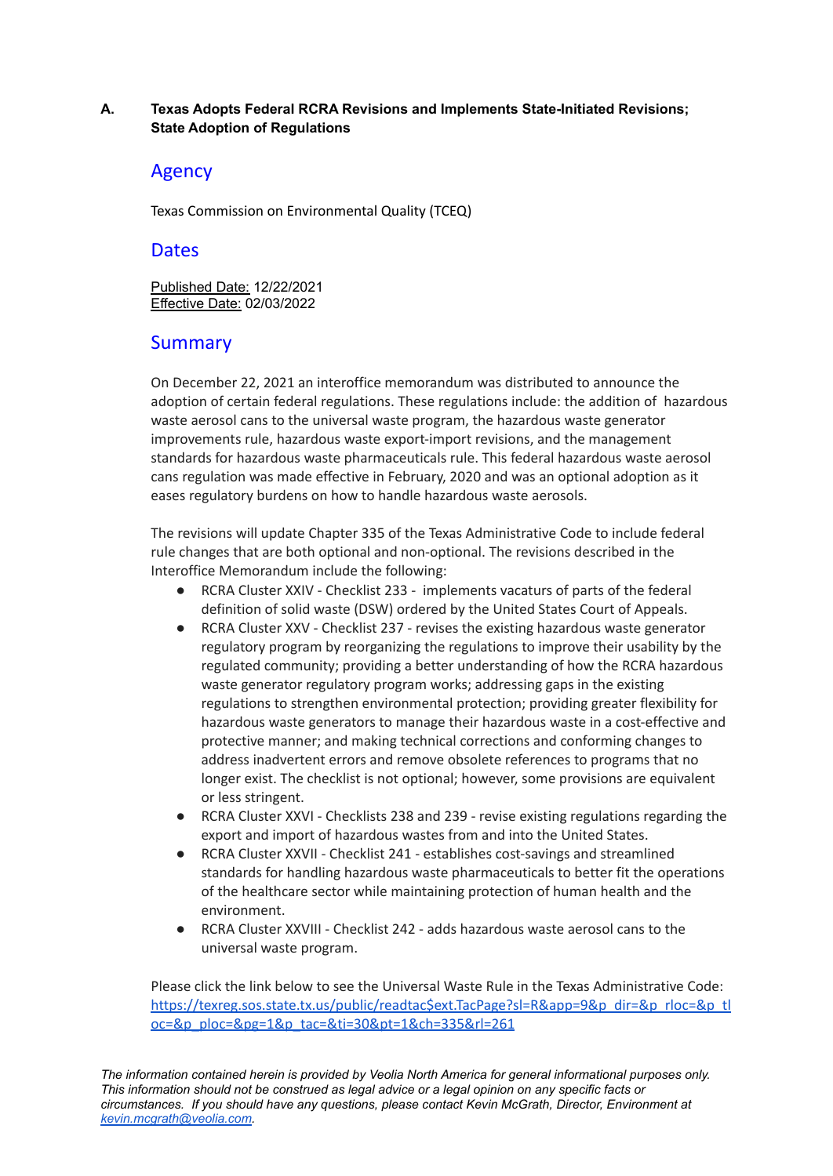### <span id="page-1-0"></span>**A. Texas Adopts Federal RCRA Revisions and Implements State-Initiated Revisions; State Adoption of Regulations**

## Agency

Texas Commission on Environmental Quality (TCEQ)

## **Dates**

Published Date: 12/22/2021 Effective Date: 02/03/2022

# **Summary**

On December 22, 2021 an interoffice memorandum was distributed to announce the adoption of certain federal regulations. These regulations include: the addition of hazardous waste aerosol cans to the universal waste program, the hazardous waste generator improvements rule, hazardous waste export-import revisions, and the management standards for hazardous waste pharmaceuticals rule. This federal hazardous waste aerosol cans regulation was made effective in February, 2020 and was an optional adoption as it eases regulatory burdens on how to handle hazardous waste aerosols.

The revisions will update Chapter 335 of the Texas Administrative Code to include federal rule changes that are both optional and non-optional. The revisions described in the Interoffice Memorandum include the following:

- RCRA Cluster XXIV Checklist 233 implements vacaturs of parts of the federal definition of solid waste (DSW) ordered by the United States Court of Appeals.
- RCRA Cluster XXV Checklist 237 revises the existing hazardous waste generator regulatory program by reorganizing the regulations to improve their usability by the regulated community; providing a better understanding of how the RCRA hazardous waste generator regulatory program works; addressing gaps in the existing regulations to strengthen environmental protection; providing greater flexibility for hazardous waste generators to manage their hazardous waste in a cost-effective and protective manner; and making technical corrections and conforming changes to address inadvertent errors and remove obsolete references to programs that no longer exist. The checklist is not optional; however, some provisions are equivalent or less stringent.
- RCRA Cluster XXVI Checklists 238 and 239 revise existing regulations regarding the export and import of hazardous wastes from and into the United States.
- RCRA Cluster XXVII Checklist 241 establishes cost-savings and streamlined standards for handling hazardous waste pharmaceuticals to better fit the operations of the healthcare sector while maintaining protection of human health and the environment.
- RCRA Cluster XXVIII Checklist 242 adds hazardous waste aerosol cans to the universal waste program.

Please click the link below to see the Universal Waste Rule in the Texas Administrative Code: [https://texreg.sos.state.tx.us/public/readtac\\$ext.TacPage?sl=R&app=9&p\\_dir=&p\\_rloc=&p\\_tl](https://texreg.sos.state.tx.us/public/readtac$ext.TacPage?sl=R&app=9&p_dir=&p_rloc=&p_tloc=&p_ploc=&pg=1&p_tac=&ti=30&pt=1&ch=335&rl=261) [oc=&p\\_ploc=&pg=1&p\\_tac=&ti=30&pt=1&ch=335&rl=261](https://texreg.sos.state.tx.us/public/readtac$ext.TacPage?sl=R&app=9&p_dir=&p_rloc=&p_tloc=&p_ploc=&pg=1&p_tac=&ti=30&pt=1&ch=335&rl=261)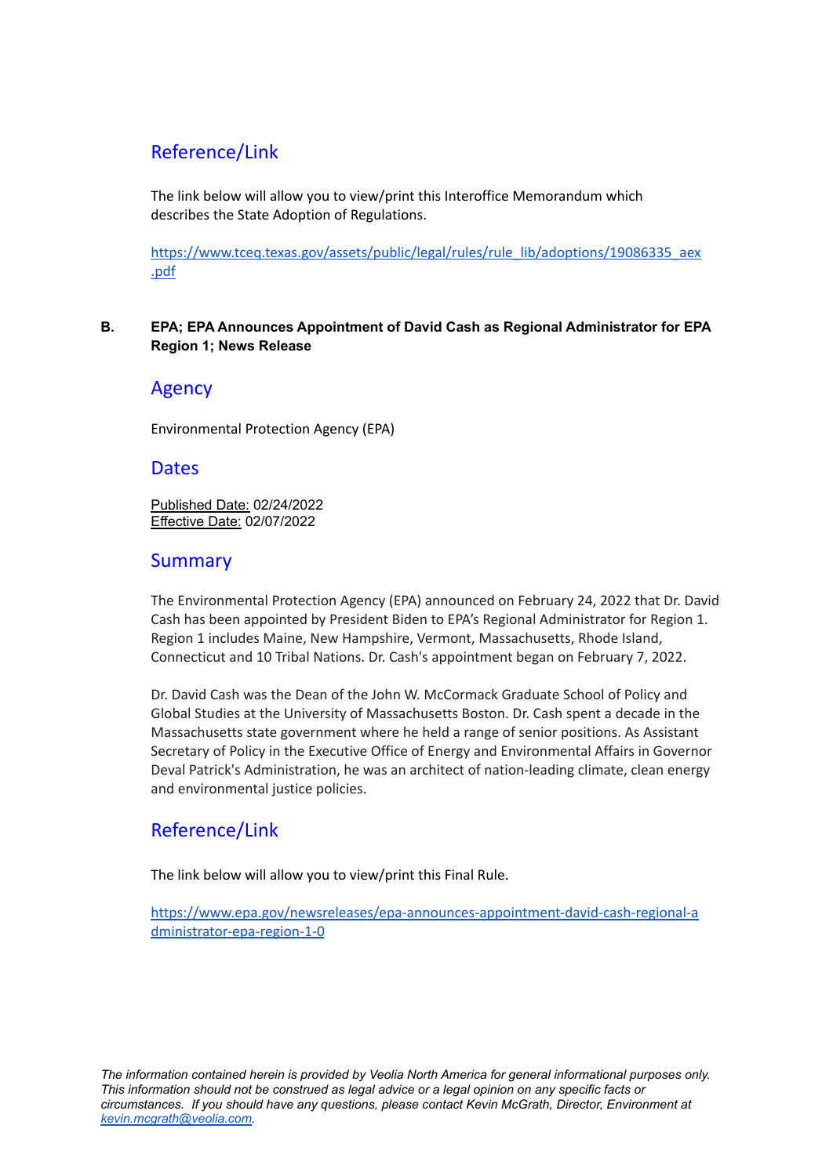# Reference/Link

The link below will allow you to view/print this Interoffice Memorandum which describes the State Adoption of Regulations.

[https://www.tceq.texas.gov/assets/public/legal/rules/rule\\_lib/adoptions/19086335\\_aex](https://www.tceq.texas.gov/assets/public/legal/rules/rule_lib/adoptions/19086335_aex.pdf) [.pdf](https://www.tceq.texas.gov/assets/public/legal/rules/rule_lib/adoptions/19086335_aex.pdf)

#### <span id="page-2-0"></span>**B. EPA; EPA Announces Appointment of David Cash as Regional Administrator for EPA Region 1; News Release**

## Agency

Environmental Protection Agency (EPA)

## **Dates**

Published Date: 02/24/2022 Effective Date: 02/07/2022

## Summary

The Environmental Protection Agency (EPA) announced on February 24, 2022 that Dr. David Cash has been appointed by President Biden to EPA's Regional Administrator for Region 1. Region 1 includes Maine, New Hampshire, Vermont, Massachusetts, Rhode Island, Connecticut and 10 Tribal Nations. Dr. Cash's appointment began on February 7, 2022.

Dr. David Cash was the Dean of the John W. McCormack Graduate School of Policy and Global Studies at the University of Massachusetts Boston. Dr. Cash spent a decade in the Massachusetts state government where he held a range of senior positions. As Assistant Secretary of Policy in the Executive Office of Energy and Environmental Affairs in Governor Deval Patrick's Administration, he was an architect of nation-leading climate, clean energy and environmental justice policies.

# Reference/Link

The link below will allow you to view/print this Final Rule.

[https://www.epa.gov/newsreleases/epa-announces-appointment-david-cash-regional-a](https://www.epa.gov/newsreleases/epa-announces-appointment-david-cash-regional-administrator-epa-region-1-0) [dministrator-epa-region-1-0](https://www.epa.gov/newsreleases/epa-announces-appointment-david-cash-regional-administrator-epa-region-1-0)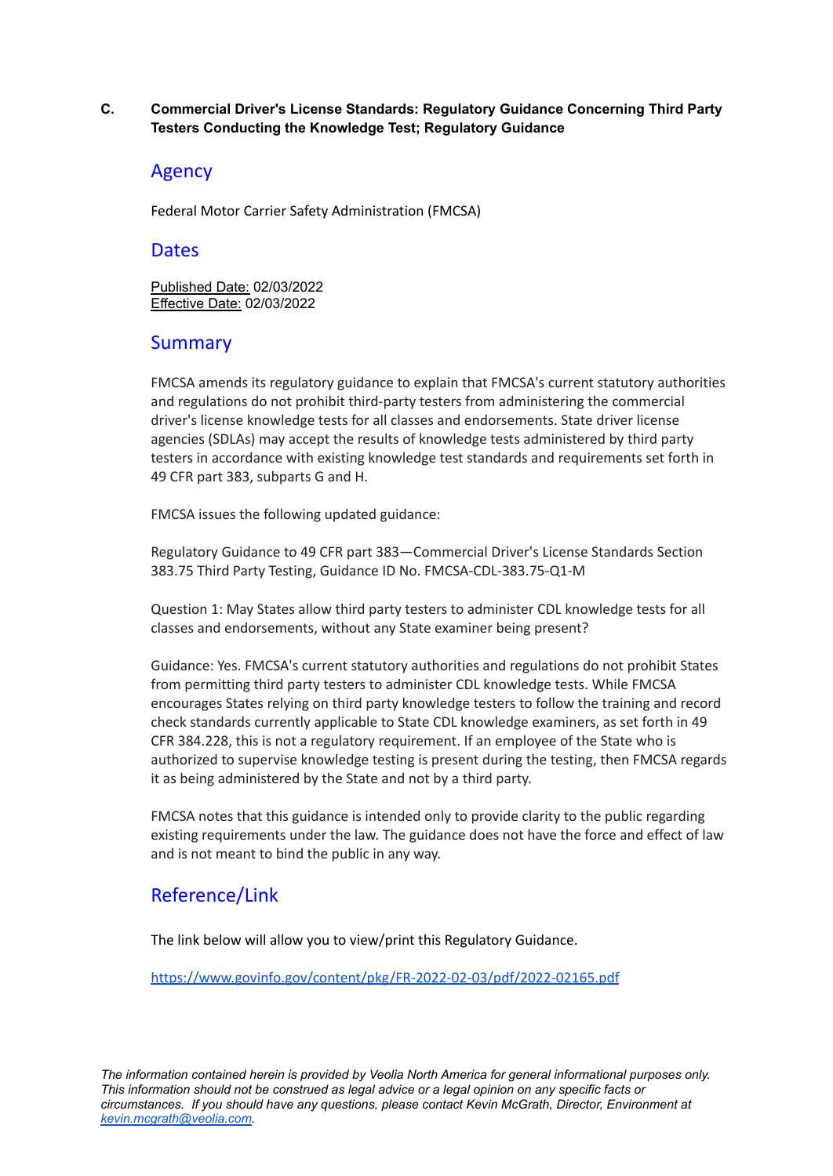### <span id="page-3-0"></span>**C. Commercial Driver's License Standards: Regulatory Guidance Concerning Third Party Testers Conducting the Knowledge Test; Regulatory Guidance**

## Agency

Federal Motor Carrier Safety Administration (FMCSA)

## **Dates**

Published Date: 02/03/2022 Effective Date: 02/03/2022

# **Summary**

FMCSA amends its regulatory guidance to explain that FMCSA's current statutory authorities and regulations do not prohibit third-party testers from administering the commercial driver's license knowledge tests for all classes and endorsements. State driver license agencies (SDLAs) may accept the results of knowledge tests administered by third party testers in accordance with existing knowledge test standards and requirements set forth in 49 CFR part 383, subparts G and H.

FMCSA issues the following updated guidance:

Regulatory Guidance to 49 CFR part 383—Commercial Driver's License Standards Section 383.75 Third Party Testing, Guidance ID No. FMCSA-CDL-383.75-Q1-M

Question 1: May States allow third party testers to administer CDL knowledge tests for all classes and endorsements, without any State examiner being present?

Guidance: Yes. FMCSA's current statutory authorities and regulations do not prohibit States from permitting third party testers to administer CDL knowledge tests. While FMCSA encourages States relying on third party knowledge testers to follow the training and record check standards currently applicable to State CDL knowledge examiners, as set forth in 49 CFR 384.228, this is not a regulatory requirement. If an employee of the State who is authorized to supervise knowledge testing is present during the testing, then FMCSA regards it as being administered by the State and not by a third party.

FMCSA notes that this guidance is intended only to provide clarity to the public regarding existing requirements under the law. The guidance does not have the force and effect of law and is not meant to bind the public in any way.

# Reference/Link

The link below will allow you to view/print this Regulatory Guidance.

<https://www.govinfo.gov/content/pkg/FR-2022-02-03/pdf/2022-02165.pdf>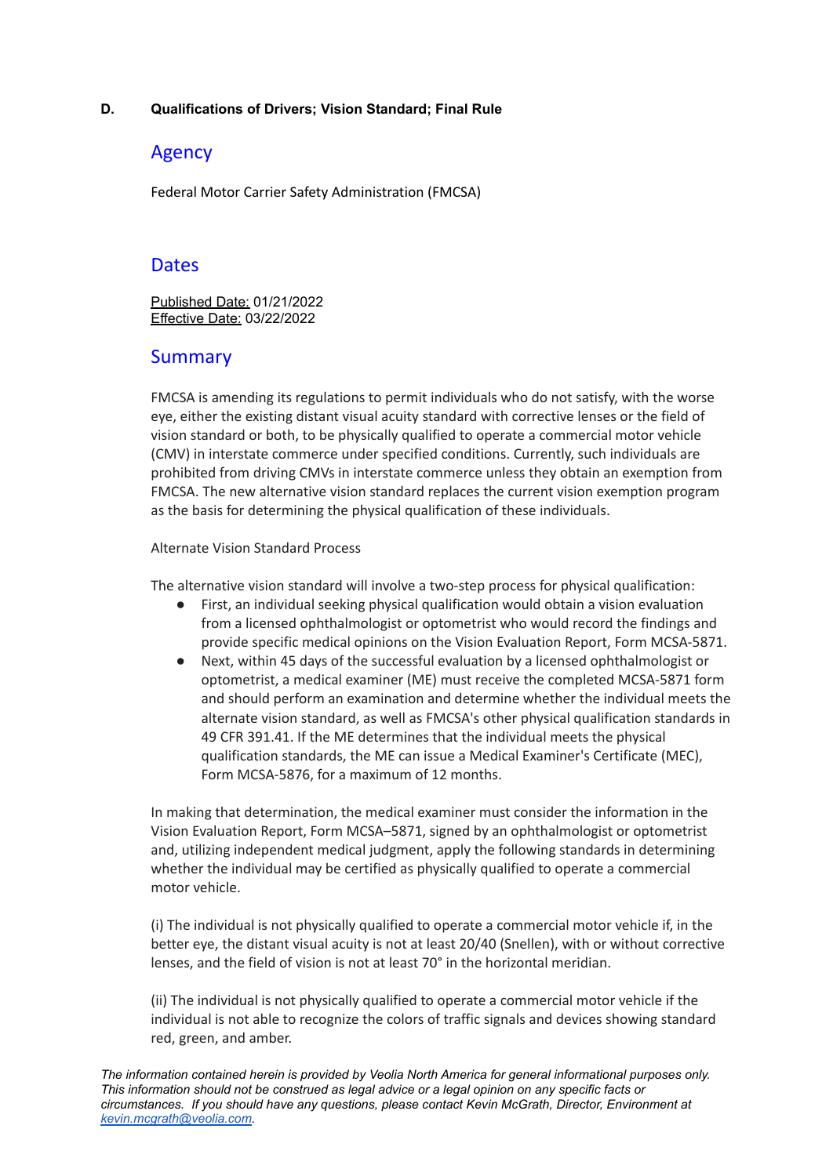### <span id="page-4-0"></span>**D. Qualifications of Drivers; Vision Standard; Final Rule**

## Agency

Federal Motor Carrier Safety Administration (FMCSA)

## **Dates**

Published Date: 01/21/2022 Effective Date: 03/22/2022

## Summary

FMCSA is amending its regulations to permit individuals who do not satisfy, with the worse eye, either the existing distant visual acuity standard with corrective lenses or the field of vision standard or both, to be physically qualified to operate a commercial motor vehicle (CMV) in interstate commerce under specified conditions. Currently, such individuals are prohibited from driving CMVs in interstate commerce unless they obtain an exemption from FMCSA. The new alternative vision standard replaces the current vision exemption program as the basis for determining the physical qualification of these individuals.

#### Alternate Vision Standard Process

The alternative vision standard will involve a two-step process for physical qualification:

- First, an individual seeking physical qualification would obtain a vision evaluation from a licensed ophthalmologist or optometrist who would record the findings and provide specific medical opinions on the Vision Evaluation Report, Form MCSA-5871.
- Next, within 45 days of the successful evaluation by a licensed ophthalmologist or optometrist, a medical examiner (ME) must receive the completed MCSA-5871 form and should perform an examination and determine whether the individual meets the alternate vision standard, as well as FMCSA's other physical qualification standards in 49 CFR 391.41. If the ME determines that the individual meets the physical qualification standards, the ME can issue a Medical Examiner's Certificate (MEC), Form MCSA-5876, for a maximum of 12 months.

In making that determination, the medical examiner must consider the information in the Vision Evaluation Report, Form MCSA–5871, signed by an ophthalmologist or optometrist and, utilizing independent medical judgment, apply the following standards in determining whether the individual may be certified as physically qualified to operate a commercial motor vehicle.

(i) The individual is not physically qualified to operate a commercial motor vehicle if, in the better eye, the distant visual acuity is not at least 20/40 (Snellen), with or without corrective lenses, and the field of vision is not at least 70° in the horizontal meridian.

(ii) The individual is not physically qualified to operate a commercial motor vehicle if the individual is not able to recognize the colors of traffic signals and devices showing standard red, green, and amber.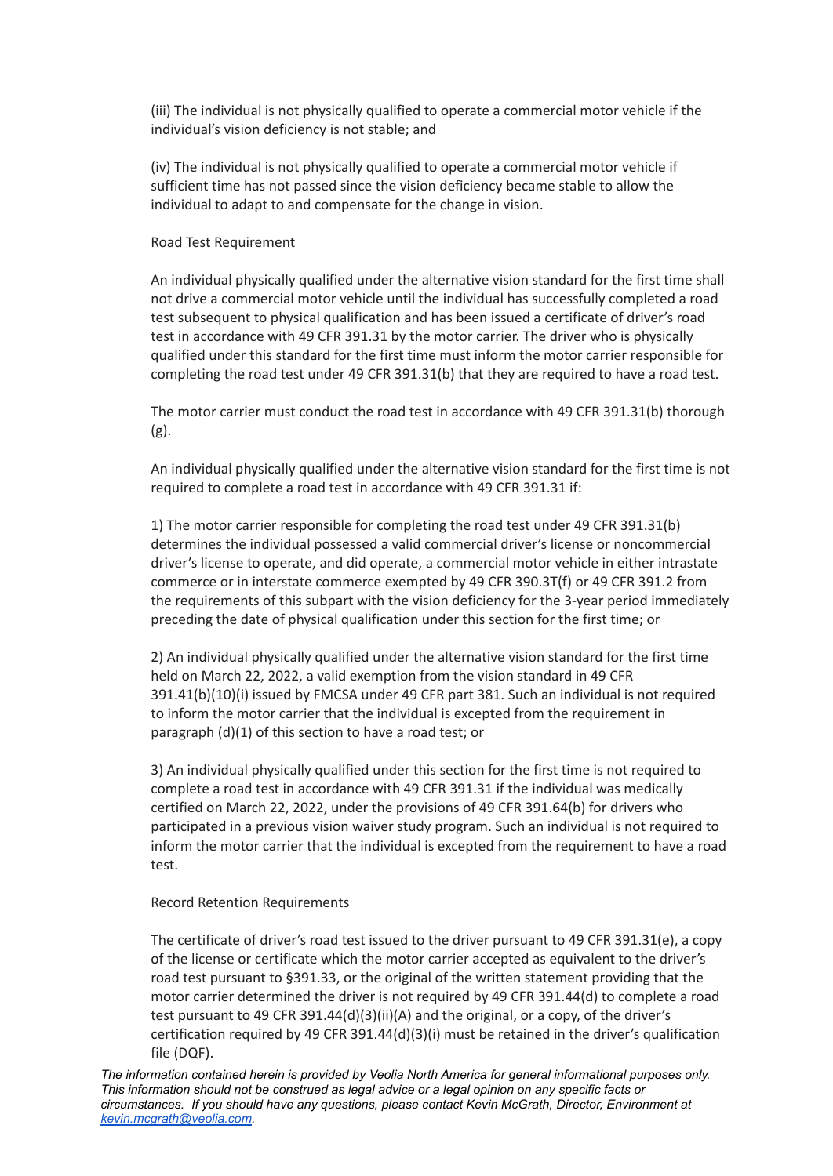(iii) The individual is not physically qualified to operate a commercial motor vehicle if the individual's vision deficiency is not stable; and

(iv) The individual is not physically qualified to operate a commercial motor vehicle if sufficient time has not passed since the vision deficiency became stable to allow the individual to adapt to and compensate for the change in vision.

#### Road Test Requirement

An individual physically qualified under the alternative vision standard for the first time shall not drive a commercial motor vehicle until the individual has successfully completed a road test subsequent to physical qualification and has been issued a certificate of driver's road test in accordance with 49 CFR 391.31 by the motor carrier. The driver who is physically qualified under this standard for the first time must inform the motor carrier responsible for completing the road test under 49 CFR 391.31(b) that they are required to have a road test.

The motor carrier must conduct the road test in accordance with 49 CFR 391.31(b) thorough (g).

An individual physically qualified under the alternative vision standard for the first time is not required to complete a road test in accordance with 49 CFR 391.31 if:

1) The motor carrier responsible for completing the road test under 49 CFR 391.31(b) determines the individual possessed a valid commercial driver's license or noncommercial driver's license to operate, and did operate, a commercial motor vehicle in either intrastate commerce or in interstate commerce exempted by 49 CFR 390.3T(f) or 49 CFR 391.2 from the requirements of this subpart with the vision deficiency for the 3-year period immediately preceding the date of physical qualification under this section for the first time; or

2) An individual physically qualified under the alternative vision standard for the first time held on March 22, 2022, a valid exemption from the vision standard in 49 CFR 391.41(b)(10)(i) issued by FMCSA under 49 CFR part 381. Such an individual is not required to inform the motor carrier that the individual is excepted from the requirement in paragraph (d)(1) of this section to have a road test; or

3) An individual physically qualified under this section for the first time is not required to complete a road test in accordance with 49 CFR 391.31 if the individual was medically certified on March 22, 2022, under the provisions of 49 CFR 391.64(b) for drivers who participated in a previous vision waiver study program. Such an individual is not required to inform the motor carrier that the individual is excepted from the requirement to have a road test.

## Record Retention Requirements

The certificate of driver's road test issued to the driver pursuant to 49 CFR 391.31(e), a copy of the license or certificate which the motor carrier accepted as equivalent to the driver's road test pursuant to §391.33, or the original of the written statement providing that the motor carrier determined the driver is not required by 49 CFR 391.44(d) to complete a road test pursuant to 49 CFR 391.44(d)(3)(ii)(A) and the original, or a copy, of the driver's certification required by 49 CFR 391.44(d)(3)(i) must be retained in the driver's qualification file (DQF).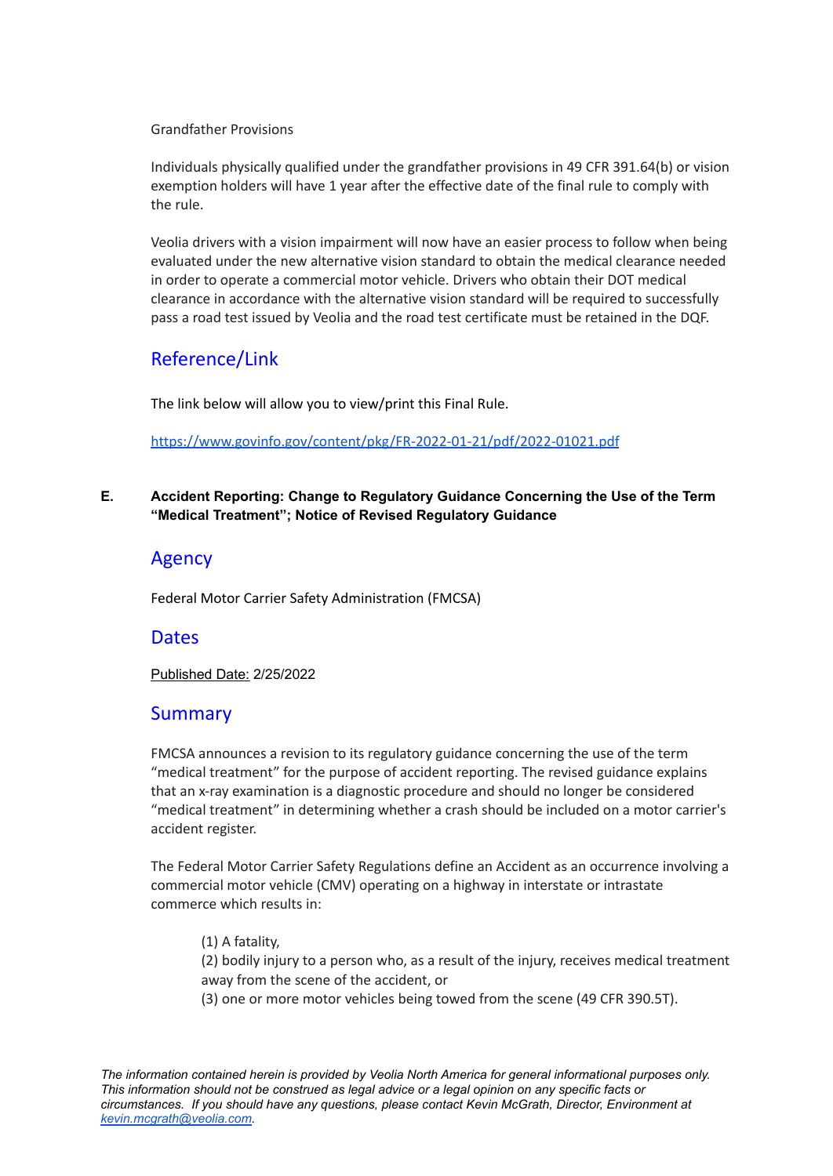#### Grandfather Provisions

Individuals physically qualified under the grandfather provisions in 49 CFR 391.64(b) or vision exemption holders will have 1 year after the effective date of the final rule to comply with the rule.

Veolia drivers with a vision impairment will now have an easier process to follow when being evaluated under the new alternative vision standard to obtain the medical clearance needed in order to operate a commercial motor vehicle. Drivers who obtain their DOT medical clearance in accordance with the alternative vision standard will be required to successfully pass a road test issued by Veolia and the road test certificate must be retained in the DQF.

# Reference/Link

The link below will allow you to view/print this Final Rule.

<https://www.govinfo.gov/content/pkg/FR-2022-01-21/pdf/2022-01021.pdf>

## <span id="page-6-0"></span>**E. Accident Reporting: Change to Regulatory Guidance Concerning the Use of the Term "Medical Treatment"; Notice of Revised Regulatory Guidance**

## Agency

Federal Motor Carrier Safety Administration (FMCSA)

## **Dates**

Published Date: 2/25/2022

## Summary

FMCSA announces a revision to its regulatory guidance concerning the use of the term "medical treatment" for the purpose of accident reporting. The revised guidance explains that an x-ray examination is a diagnostic procedure and should no longer be considered "medical treatment" in determining whether a crash should be included on a motor carrier's accident register.

The Federal Motor Carrier Safety Regulations define an Accident as an occurrence involving a commercial motor vehicle (CMV) operating on a highway in interstate or intrastate commerce which results in:

(1) A fatality, (2) bodily injury to a person who, as a result of the injury, receives medical treatment away from the scene of the accident, or (3) one or more motor vehicles being towed from the scene (49 CFR 390.5T).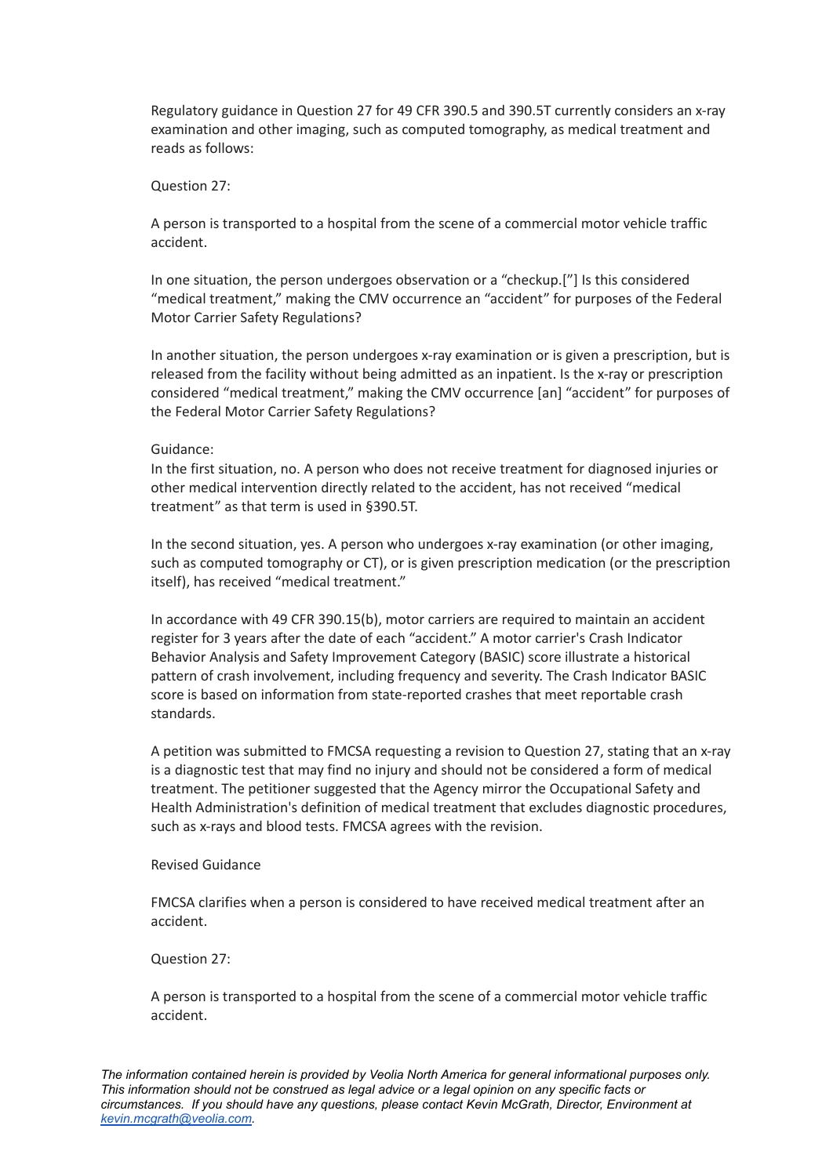Regulatory guidance in Question 27 for 49 CFR 390.5 and 390.5T currently considers an x-ray examination and other imaging, such as computed tomography, as medical treatment and reads as follows:

#### Question 27:

A person is transported to a hospital from the scene of a commercial motor vehicle traffic accident.

In one situation, the person undergoes observation or a "checkup.["] Is this considered "medical treatment," making the CMV occurrence an "accident" for purposes of the Federal Motor Carrier Safety Regulations?

In another situation, the person undergoes x-ray examination or is given a prescription, but is released from the facility without being admitted as an inpatient. Is the x-ray or prescription considered "medical treatment," making the CMV occurrence [an] "accident" for purposes of the Federal Motor Carrier Safety Regulations?

#### Guidance:

In the first situation, no. A person who does not receive treatment for diagnosed injuries or other medical intervention directly related to the accident, has not received "medical treatment" as that term is used in §390.5T.

In the second situation, yes. A person who undergoes x-ray examination (or other imaging, such as computed tomography or CT), or is given prescription medication (or the prescription itself), has received "medical treatment."

In accordance with 49 CFR 390.15(b), motor carriers are required to maintain an accident register for 3 years after the date of each "accident." A motor carrier's Crash Indicator Behavior Analysis and Safety Improvement Category (BASIC) score illustrate a historical pattern of crash involvement, including frequency and severity. The Crash Indicator BASIC score is based on information from state-reported crashes that meet reportable crash standards.

A petition was submitted to FMCSA requesting a revision to Question 27, stating that an x-ray is a diagnostic test that may find no injury and should not be considered a form of medical treatment. The petitioner suggested that the Agency mirror the Occupational Safety and Health Administration's definition of medical treatment that excludes diagnostic procedures, such as x-rays and blood tests. FMCSA agrees with the revision.

#### Revised Guidance

FMCSA clarifies when a person is considered to have received medical treatment after an accident.

#### Question 27:

A person is transported to a hospital from the scene of a commercial motor vehicle traffic accident.